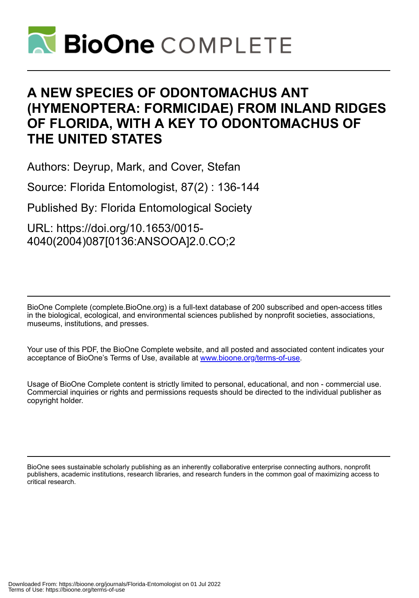

# **A NEW SPECIES OF ODONTOMACHUS ANT (HYMENOPTERA: FORMICIDAE) FROM INLAND RIDGES OF FLORIDA, WITH A KEY TO ODONTOMACHUS OF THE UNITED STATES**

Authors: Deyrup, Mark, and Cover, Stefan

Source: Florida Entomologist, 87(2) : 136-144

Published By: Florida Entomological Society

URL: https://doi.org/10.1653/0015- 4040(2004)087[0136:ANSOOA]2.0.CO;2

BioOne Complete (complete.BioOne.org) is a full-text database of 200 subscribed and open-access titles in the biological, ecological, and environmental sciences published by nonprofit societies, associations, museums, institutions, and presses.

Your use of this PDF, the BioOne Complete website, and all posted and associated content indicates your acceptance of BioOne's Terms of Use, available at www.bioone.org/terms-of-use.

Usage of BioOne Complete content is strictly limited to personal, educational, and non - commercial use. Commercial inquiries or rights and permissions requests should be directed to the individual publisher as copyright holder.

BioOne sees sustainable scholarly publishing as an inherently collaborative enterprise connecting authors, nonprofit publishers, academic institutions, research libraries, and research funders in the common goal of maximizing access to critical research.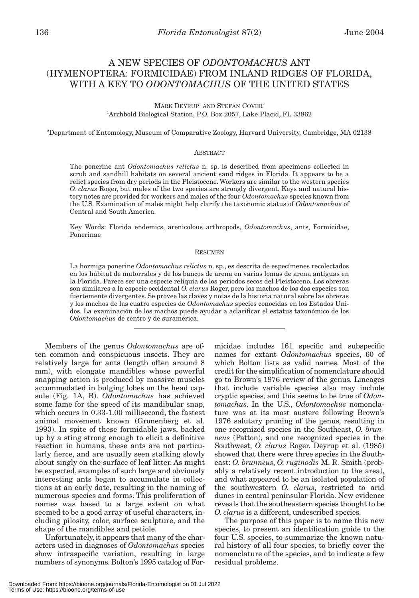## A NEW SPECIES OF *ODONTOMACHUS* ANT (HYMENOPTERA: FORMICIDAE) FROM INLAND RIDGES OF FLORIDA, WITH A KEY TO *ODONTOMACHUS* OF THE UNITED STATES

## MARK DEYRUP<sup>1</sup> AND STEFAN COVER<sup>2</sup> 1 Archbold Biological Station, P.O. Box 2057, Lake Placid, FL 33862

2 Department of Entomology, Museum of Comparative Zoology, Harvard University, Cambridge, MA 02138

#### **ABSTRACT**

The ponerine ant *Odontomachus relictus* n. sp. is described from specimens collected in scrub and sandhill habitats on several ancient sand ridges in Florida. It appears to be a relict species from dry periods in the Pleistocene. Workers are similar to the western species *O. clarus* Roger, but males of the two species are strongly divergent. Keys and natural history notes are provided for workers and males of the four *Odontomachus* species known from the U.S. Examination of males might help clarify the taxonomic status of *Odontomachus* of Central and South America.

Key Words: Florida endemics, arenicolous arthropods, *Odontomachus*, ants, Formicidae, Ponerinae

#### **RESUMEN**

La hormiga ponerine *Odontomachus relictus* n. sp., es descrita de especímenes recolectados en los hábitat de matorrales y de los bancos de arena en varias lomas de arena antíguas en la Florida. Parece ser una especie reliquia de los periodos secos del Pleistoceno. Los obreras son similares a la especie occidental *O. clarus* Roger, pero los machos de los dos especies son fuertemente divergentes. Se provee las claves y notas de la historia natural sobre las obreras y los machos de las cuatro especies de *Odontomachus* species conocidas en los Estados Unidos. La examinación de los machos puede ayudar a aclarificar el estatus taxonómico de los *Odontomachus* de centro y de suramerica.

Members of the genus *Odontomachus* are often common and conspicuous insects. They are relatively large for ants (length often around 8 mm), with elongate mandibles whose powerful snapping action is produced by massive muscles accommodated in bulging lobes on the head capsule (Fig. 1A, B). *Odontomachus* has achieved some fame for the speed of its mandibular snap, which occurs in 0.33-1.00 millisecond, the fastest animal movement known (Gronenberg et al. 1993). In spite of these formidable jaws, backed up by a sting strong enough to elicit a definitive reaction in humans, these ants are not particularly fierce, and are usually seen stalking slowly about singly on the surface of leaf litter. As might be expected, examples of such large and obviously interesting ants began to accumulate in collections at an early date, resulting in the naming of numerous species and forms. This proliferation of names was based to a large extent on what seemed to be a good array of useful characters, including pilosity, color, surface sculpture, and the shape of the mandibles and petiole.

Unfortunately, it appears that many of the characters used in diagnoses of *Odontomachus* species show intraspecific variation, resulting in large numbers of synonyms. Bolton's 1995 catalog of Formicidae includes 161 specific and subspecific names for extant *Odontomachus* species, 60 of which Bolton lists as valid names. Most of the credit for the simplification of nomenclature should go to Brown's 1976 review of the genus. Lineages that include variable species also may include cryptic species, and this seems to be true of *Odontomachus*. In the U.S., *Odontomachus* nomenclature was at its most austere following Brown's 1976 salutary pruning of the genus, resulting in one recognized species in the Southeast, *O. brunneus* (Patton), and one recognized species in the Southwest, *O. clarus* Roger. Deyrup et al. (1985) showed that there were three species in the Southeast: *O. brunneus*, *O. ruginodis* M. R. Smith (probably a relatively recent introduction to the area), and what appeared to be an isolated population of the southwestern *O. clarus*, restricted to arid dunes in central peninsular Florida. New evidence reveals that the southeastern species thought to be *O. clarus* is a different, undescribed species.

The purpose of this paper is to name this new species, to present an identification guide to the four U.S. species, to summarize the known natural history of all four species, to briefly cover the nomenclature of the species, and to indicate a few residual problems.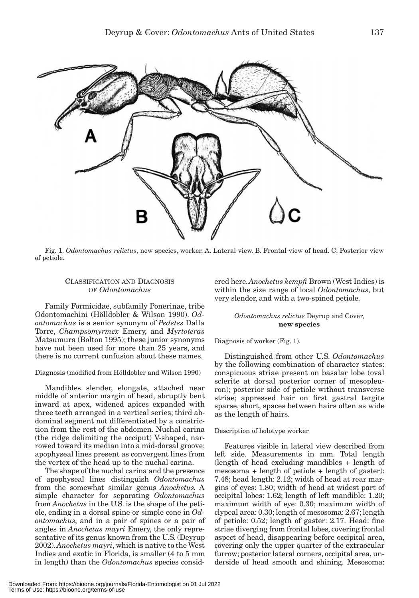

Fig. 1. *Odontomachus relictus*, new species, worker. A. Lateral view. B. Frontal view of head. C: Posterior view of petiole.

## CLASSIFICATION AND DIAGNOSIS OF *Odontomachus*

Family Formicidae, subfamily Ponerinae, tribe Odontomachini (Hölldobler & Wilson 1990). *Odontomachus* is a senior synonym of *Pedetes* Dalla Torre, *Champsomyrmex* Emery, and *Myrtoteras* Matsumura (Bolton 1995); these junior synonyms have not been used for more than 25 years, and there is no current confusion about these names.

## Diagnosis (modified from Hölldobler and Wilson 1990)

Mandibles slender, elongate, attached near middle of anterior margin of head, abruptly bent inward at apex, widened apices expanded with three teeth arranged in a vertical series; third abdominal segment not differentiated by a constriction from the rest of the abdomen. Nuchal carina (the ridge delimiting the occiput) V-shaped, narrowed toward its median into a mid-dorsal groove; apophyseal lines present as convergent lines from the vertex of the head up to the nuchal carina.

The shape of the nuchal carina and the presence of apophyseal lines distinguish *Odontomachus* from the somewhat similar genus *Anochetus.* A simple character for separating *Odontomachus* from *Anochetus* in the U.S. is the shape of the petiole, ending in a dorsal spine or simple cone in *Odontomachus*, and in a pair of spines or a pair of angles in *Anochetus mayri* Emery, the only representative of its genus known from the U.S. (Deyrup 2002). *Anochetus mayri*, which is native to the West Indies and exotic in Florida, is smaller (4 to 5 mm in length) than the *Odontomachus* species considered here. *Anochetus kempfi* Brown (West Indies) is within the size range of local *Odontomachus*, but very slender, and with a two-spined petiole.

## *Odontomachus relictus* Deyrup and Cover, **new species**

Diagnosis of worker (Fig. 1).

Distinguished from other U.S. *Odontomachus* by the following combination of character states: conspicuous striae present on basalar lobe (oval sclerite at dorsal posterior corner of mesopleuron); posterior side of petiole without transverse striae; appressed hair on first gastral tergite sparse, short, spaces between hairs often as wide as the length of hairs.

#### Description of holotype worker

Features visible in lateral view described from left side. Measurements in mm. Total length (length of head excluding mandibles + length of mesosoma + length of petiole + length of gaster): 7.48; head length: 2.12; width of head at rear margins of eyes: 1.80; width of head at widest part of occipital lobes: 1.62; length of left mandible: 1.20; maximum width of eye: 0.30; maximum width of clypeal area: 0.30; length of mesosoma: 2.67; length of petiole: 0.52; length of gaster: 2.17. Head: fine striae diverging from frontal lobes, covering frontal aspect of head, disappearing before occipital area, covering only the upper quarter of the extraocular furrow; posterior lateral corners, occipital area, underside of head smooth and shining. Mesosoma: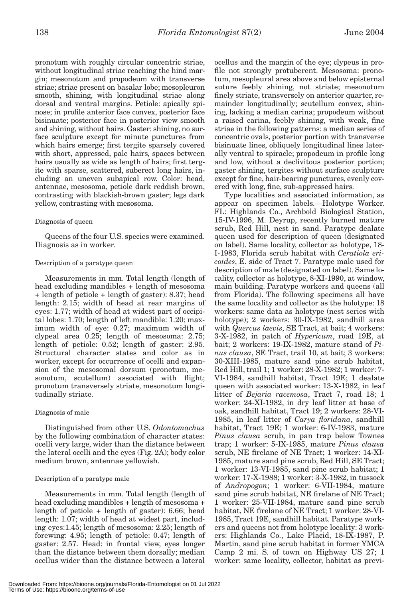pronotum with roughly circular concentric striae, without longitudinal striae reaching the hind margin; mesonotum and propodeum with transverse striae; striae present on basalar lobe; mesopleuron smooth, shining, with longitudinal striae along dorsal and ventral margins. Petiole: apically spinose; in profile anterior face convex, posterior face bisinuate; posterior face in posterior view smooth and shining, without hairs. Gaster: shining, no surface sculpture except for minute punctures from which hairs emerge; first tergite sparsely covered with short, appressed, pale hairs, spaces between hairs usually as wide as length of hairs; first tergite with sparse, scattered, suberect long hairs, including an uneven subapical row. Color: head, antennae, mesosoma, petiole dark reddish brown, contrasting with blackish-brown gaster; legs dark yellow, contrasting with mesosoma.

## Diagnosis of queen

Queens of the four U.S. species were examined. Diagnosis as in worker.

## Description of a paratype queen

Measurements in mm. Total length (length of head excluding mandibles + length of mesosoma + length of petiole + length of gaster): 8.37; head length: 2.15; width of head at rear margins of eyes: 1.77; width of head at widest part of occipital lobes: 1.70; length of left mandible: 1.20; maximum width of eye: 0.27; maximum width of clypeal area 0.25; length of mesosoma: 2.75; length of petiole: 0.52; length of gaster: 2.95. Structural character states and color as in worker, except for occurrence of ocelli and expansion of the mesosomal dorsum (pronotum, mesonotum, scutellum) associated with flight; pronotum transversely striate, mesonotum longitudinally striate.

## Diagnosis of male

Distinguished from other U.S. *Odontomachus* by the following combination of character states: ocelli very large, wider than the distance between the lateral ocelli and the eyes (Fig. 2A); body color medium brown, antennae yellowish.

## Description of a paratype male

Measurements in mm. Total length (length of head excluding mandibles + length of mesosoma + length of petiole + length of gaster): 6.66; head length: 1.07; width of head at widest part, including eyes:1.45; length of mesosoma: 2.25; length of forewing: 4.95; length of petiole: 0.47; length of gaster: 2.57. Head: in frontal view, eyes longer than the distance between them dorsally; median ocellus wider than the distance between a lateral

ocellus and the margin of the eye; clypeus in profile not strongly protuberent. Mesosoma: pronotum, mesopleural area above and below episternal suture feebly shining, not striate; mesonotum finely striate, transversely on anterior quarter, remainder longitudinally; scutellum convex, shining, lacking a median carina; propodeum without a raised carina, feebly shining, with weak, fine striae in the following patterns: a median series of concentric ovals, posterior portion with transverse bisinuate lines, obliquely longitudinal lines laterally ventral to spiracle; propodeum in profile long and low, without a declivitous posterior portion; gaster shining, tergites without surface sculpture except for fine, hair-bearing punctures, evenly covered with long, fine, sub-appressed hairs.

Type localities and associated information, as appear on specimen labels.—Holotype Worker. FL: Highlands Co., Archbold Biological Station, 15-IV-1996, M. Deyrup, recently burned mature scrub, Red Hill, nest in sand. Paratype dealate queen used for description of queen (designated on label). Same locality, collector as holotype, 18- I-1983, Florida scrub habitat with *Ceratiola ericoides*, E. side of Tract 7. Paratype male used for description of male (designated on label). Same locality, collector as holotype, 8-XI-1990, at window, main building. Paratype workers and queens (all from Florida). The following specimens all have the same locality and collector as the holotype: 18 workers: same data as holotype (nest series with holotype); 2 workers: 30-IX-1982, sandhill area with *Quercus laevis*, SE Tract, at bait; 4 workers: 3-X-1982, in patch of *Hypericum*, road 19E, at bait; 2 workers: 19-IX-1982, mature stand of *Pinus clausa*, SE Tract, trail 10, at bait; 3 workers: 30-XIII-1985, mature sand pine scrub habitat, Red Hill, trail 1; 1 worker: 28-X-1982; 1 worker: 7- VI-1984, sandhill habitat, Tract 19E; 1 dealate queen with associated worker: 13-X-1982, in leaf litter of *Bejaria racemosa*, Tract 7, road 18; 1 worker: 24-XI-1982, in dry leaf litter at base of oak, sandhill habitat, Tract 19; 2 workers: 28-VI-1985, in leaf litter of *Carya floridana*, sandhill habitat, Tract 19E; 1 worker: 6-IV-1983, mature *Pinus clausa* scrub, in pan trap below Townes trap; 1 worker: 5-IX-1985, mature *Pinus clausa* scrub, NE firelane of NE Tract; 1 worker: 14-XI-1985, mature sand pine scrub, Red Hill, SE Tract; 1 worker: 13-VI-1985, sand pine scrub habitat; 1 worker: 17-X-1988; 1 worker: 3-X-1982, in tussock of *Andropogon*; 1 worker: 6-VII-1984, mature sand pine scrub habitat, NE firelane of NE Tract; 1 worker: 25-VII-1984, mature sand pine scrub habitat, NE firelane of NE Tract; 1 worker: 28-VI-1985, Tract 19E, sandhill habitat. Paratype workers and queens not from holotype locality: 3 workers: Highlands Co., Lake Placid, 18-IX-1987, P. Martin, sand pine scrub habitat in former YMCA Camp 2 mi. S. of town on Highway US 27; 1 worker: same locality, collector, habitat as previ-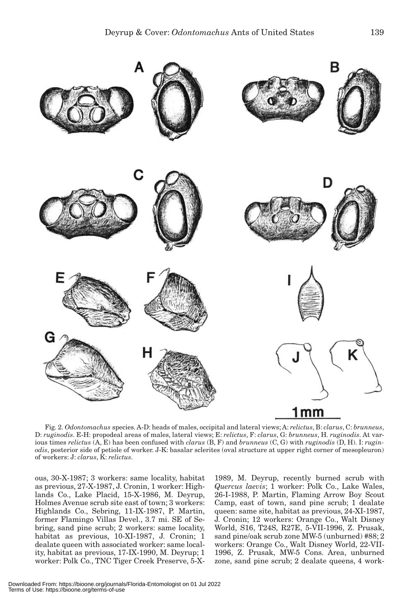

Fig. 2. *Odontomachus* species. A-D: heads of males, occipital and lateral views; A: *relictus*, B: *clarus*, C: *brunneus*, D: *ruginodis*. E-H: propodeal areas of males, lateral views; E: *relictus*, F: *clarus*, G: *brunneus*, H. *ruginodis*. At various times *relictus* (A, E) has been confused with *clarus* (B, F) and *brunneus* (C, G) with *ruginodis* (D, H). I: *ruginodis*, posterior side of petiole of worker. J-K: basalar sclerites (oval structure at upper right corner of mesopleuron) of workers: J: *clarus*, K: *relictus*.

ous, 30-X-1987; 3 workers: same locality, habitat as previous, 27-X-1987, J. Cronin, 1 worker: Highlands Co., Lake Placid, 15-X-1986, M. Deyrup, Holmes Avenue scrub site east of town; 3 workers: Highlands Co., Sebring, 11-IX-1987, P. Martin, former Flamingo Villas Devel., 3.7 mi. SE of Sebring, sand pine scrub; 2 workers: same locality, habitat as previous, 10-XI-1987, J. Cronin; 1 dealate queen with associated worker: same locality, habitat as previous, 17-IX-1990, M. Deyrup; 1 worker: Polk Co., TNC Tiger Creek Preserve, 5-X-

1989, M. Deyrup, recently burned scrub with *Quercus laevis*; 1 worker: Polk Co., Lake Wales, 26-I-1988, P. Martin, Flaming Arrow Boy Scout Camp, east of town, sand pine scrub; 1 dealate queen: same site, habitat as previous, 24-XI-1987, J. Cronin; 12 workers: Orange Co., Walt Disney World, S16, T24S, R27E, 5-VII-1996, Z. Prusak, sand pine/oak scrub zone MW-5 (unburned) #88; 2 workers: Orange Co., Walt Disney World, 22-VII-1996, Z. Prusak, MW-5 Cons. Area, unburned zone, sand pine scrub; 2 dealate queens, 4 work-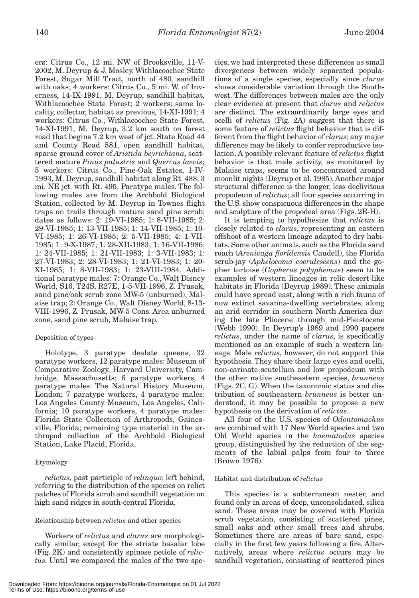ers: Citrus Co., 12 mi. NW of Brooksville, 11-V-2002, M. Deyrup & J. Mosley, Withlacoochee State Forest, Sugar Mill Tract, north of 480, sandhill with oaks; 4 workers: Citrus Co., 5 mi. W. of Inverness, 14-IX-1991, M. Deyrup, sandhill habitat, Withlacoochee State Forest; 2 workers: same locality, collector, habitat as previous, 14-XI-1991; 4 workers: Citrus Co., Withlacoochee State Forest, 14-XI-1991, M. Deyrup, 3.2 km south on forest road that begins 7.2 km west of jct. State Road 44 and County Road 581, open sandhill habitat, sparse ground cover of *Aristida beyrichiana*, scattered mature *Pinus palustris* and *Quercus laevis*; 5 workers: Citrus Co., Pine-Oak Estates, 1-IV-1993, M. Deyrup, sandhill habitat along Rt. 488, 3 mi. NE jct. with Rt. 495. Paratype males. The following males are from the Archbold Biological Station, collected by M. Deyrup in Townes flight traps on trails through mature sand pine scrub; dates as follows: 2: 19-VI-1985; 1: 8-VII-1985; 2: 29-VI-1985; 1: 13-VII-1985; 1: 14-VII-1985; 1: 10- VI-1985; 1: 26-VI-1985; 2: 5-VII-1985; 4: 1-VII-1985; 1: 9-X-1987; 1: 28-XII-1983; 1: 16-VII-1986; 1: 24-VII-1985; 1: 21-VII-1983; 1: 3-VII-1983; 1: 27-VI-1983; 2: 28-VI-1983; 1: 21-VI-1983; 1: 20- XI-1985; 1: 8-VII-1983; 1: 23-VIII-1984. Additional paratype males: 7: Orange Co., Walt Disney World, S16, T24S, R27E, 1-5-VII-1996, Z. Prusak, sand pine/oak scrub zone MW-5 (unburned), Malaise trap; 2: Orange Co., Walt Disney World, 8-13- VIII-1996, Z. Prusak, MW-5 Cons. Area unburned zone, sand pine scrub, Malaise trap.

## Deposition of types

Holotype, 3 paratype dealate queens, 32 paratype workers, 12 paratype males: Museum of Comparative Zoology, Harvard University, Cambridge, Massachusetts; 6 paratype workers, 4 paratype males: The Natural History Museum, London; 7 paratype workers, 4 paratype males: Los Angeles County Museum, Los Angeles, California; 10 paratype workers, 4 paratype males: Florida State Collection of Arthropods, Gainesville, Florida; remaining type material in the arthropod collection of the Archbold Biological Station, Lake Placid, Florida.

## Etymology

*relictus*, past participle of *relinquo*: left behind, referring to the distribution of the species on relict patches of Florida scrub and sandhill vegetation on high sand ridges in south-central Florida.

## Relationship between *relictus* and other species

Workers of *relictus* and *clarus* are morphologically similar, except for the striate basalar lobe (Fig. 2K) and consistently spinose petiole of *relictus*. Until we compared the males of the two species, we had interpreted these differences as small divergences between widely separated populations of a single species, especially since *clarus* shows considerable variation through the Southwest. The differences between males are the only clear evidence at present that *clarus* and *relictus* are distinct. The extraordinarily large eyes and ocelli of *relictus* (Fig. 2A) suggest that there is some feature of *relictus* flight behavior that is different from the flight behavior of *clarus*; any major difference may be likely to confer reproductive isolation. A possibly relevant feature of *relictus* flight behavior is that male activity, as monitored by Malaise traps, seems to be concentrated around moonlit nights (Deyrup et al. 1985). Another major structural difference is the longer, less declivitous propodeum of *relictus*; all four species occurring in the U.S. show conspicuous differences in the shape and sculpture of the propodeal area (Figs. 2E-H).

It is tempting to hypothesize that *relictus* is closely related to *clarus*, representing an eastern offshoot of a western lineage adapted to dry habitats. Some other animals, such as the Florida sand roach (*Arenivaga floridensis* Caudell), the Florida scrub-jay (*Aphelocoma coerulescens*) and the gopher tortoise (*Gopherus polyphemus*) seem to be examples of western lineages in relic desert-like habitats in Florida (Deyrup 1989). These animals could have spread east, along with a rich fauna of now extinct savanna-dwelling vertebrates, along an arid corridor in southern North America during the late Pliocene through mid-Pleistocene (Webb 1990). In Deyrup's 1989 and 1990 papers *relictus*, under the name of *clarus*, is specifically mentioned as an example of such a western lineage. Male *relictus*, however, do not support this hypothesis. They share their large eyes and ocelli, non-carinate scutellum and low propodeum with the other native southeastern species, *brunneus* (Figs. 2C, G). When the taxonomic status and distribution of southeastern *brunneus* is better understood, it may be possible to propose a new hypothesis on the derivation of *relictus*.

All four of the U.S. species of *Odontomachus* are combined with 17 New World species and two Old World species in the *haematodus* species group, distinguished by the reduction of the segments of the labial palps from four to three (Brown 1976).

#### Habitat and distribution of *relictus*

This species is a subterranean nester, and found only in areas of deep, unconsolidated, silica sand. These areas may be covered with Florida scrub vegetation, consisting of scattered pines, small oaks and other small trees and shrubs. Sometimes there are areas of bare sand, especially in the first few years following a fire. Alternatively, areas where *relictus* occurs may be sandhill vegetation, consisting of scattered pines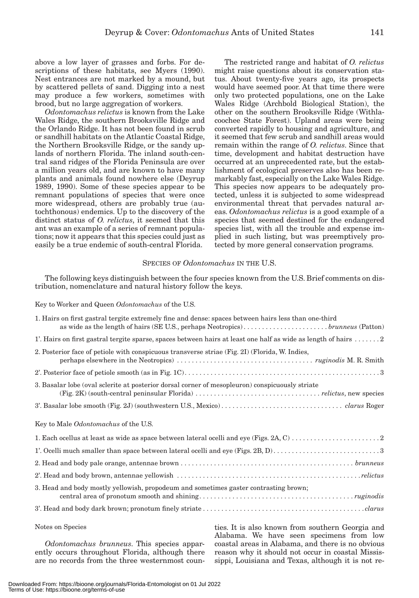above a low layer of grasses and forbs. For descriptions of these habitats, see Myers (1990). Nest entrances are not marked by a mound, but by scattered pellets of sand. Digging into a nest may produce a few workers, sometimes with brood, but no large aggregation of workers.

*Odontomachus relictus* is known from the Lake Wales Ridge, the southern Brooksville Ridge and the Orlando Ridge. It has not been found in scrub or sandhill habitats on the Atlantic Coastal Ridge, the Northern Brooksville Ridge, or the sandy uplands of northern Florida. The inland south-central sand ridges of the Florida Peninsula are over a million years old, and are known to have many plants and animals found nowhere else (Deyrup 1989, 1990). Some of these species appear to be remnant populations of species that were once more widespread, others are probably true (autochthonous) endemics. Up to the discovery of the distinct status of *O. relictus*, it seemed that this ant was an example of a series of remnant populations; now it appears that this species could just as easily be a true endemic of south-central Florida.

The restricted range and habitat of *O. relictus* might raise questions about its conservation status. About twenty-five years ago, its prospects would have seemed poor. At that time there were only two protected populations, one on the Lake Wales Ridge (Archbold Biological Station), the other on the southern Brooksville Ridge (Withlacoochee State Forest). Upland areas were being converted rapidly to housing and agriculture, and it seemed that few scrub and sandhill areas would remain within the range of *O. relictus*. Since that time, development and habitat destruction have occurred at an unprecedented rate, but the establishment of ecological preserves also has been remarkably fast, especially on the Lake Wales Ridge. This species now appears to be adequately protected, unless it is subjected to some widespread environmental threat that pervades natural areas. *Odontomachus relictus* is a good example of a species that seemed destined for the endangered species list, with all the trouble and expense implied in such listing, but was preemptively protected by more general conservation programs.

## SPECIES OF *Odontomachus* IN THE U.S.

The following keys distinguish between the four species known from the U.S. Brief comments on distribution, nomenclature and natural history follow the keys.

Key to Worker and Queen *Odontomachus* of the U.S.

| 1. Hairs on first gastral tergite extremely fine and dense: spaces between hairs less than one-third<br>as wide as the length of hairs (SE U.S., perhaps Neotropics)brunneus (Patton) |
|---------------------------------------------------------------------------------------------------------------------------------------------------------------------------------------|
| 1'. Hairs on first gastral tergite sparse, spaces between hairs at least one half as wide as length of hairs  2                                                                       |
| 2. Posterior face of petiole with conspicuous transverse striae (Fig. 2I) (Florida, W. Indies,                                                                                        |
|                                                                                                                                                                                       |
| 3. Basalar lobe (oval sclerite at posterior dorsal corner of mesopleuron) conspicuously striate                                                                                       |
|                                                                                                                                                                                       |
|                                                                                                                                                                                       |
| Key to Male Odontomachus of the U.S.                                                                                                                                                  |
|                                                                                                                                                                                       |
|                                                                                                                                                                                       |
|                                                                                                                                                                                       |
|                                                                                                                                                                                       |
| 3. Head and body mostly yellowish, propodeum and sometimes gaster contrasting brown;                                                                                                  |

Notes on Species

*Odontomachus brunneus*. This species apparently occurs throughout Florida, although there are no records from the three westernmost coun-

ties. It is also known from southern Georgia and Alabama. We have seen specimens from low coastal areas in Alabama, and there is no obvious reason why it should not occur in coastal Mississippi, Louisiana and Texas, although it is not re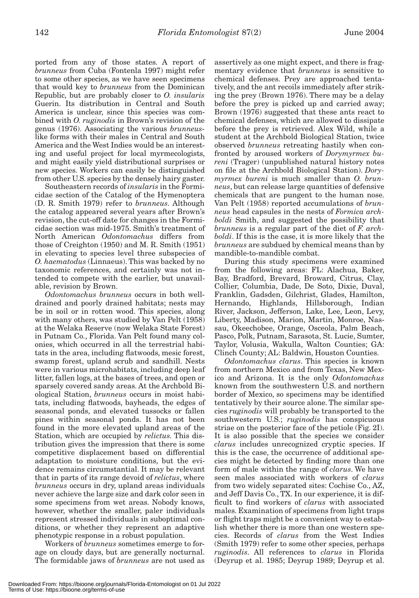ported from any of those states. A report of *brunneus* from Cuba (Fontenla 1997) might refer to some other species, as we have seen specimens that would key to *brunneus* from the Dominican Republic, but are probably closer to *O. insularis* Guerin. Its distribution in Central and South America is unclear, since this species was combined with *O. ruginodis* in Brown's revision of the genus (1976). Associating the various *brunneus*like forms with their males in Central and South America and the West Indies would be an interesting and useful project for local myrmecologists, and might easily yield distributional surprises or new species. Workers can easily be distinguished from other U.S. species by the densely hairy gaster.

Southeastern records of *insularis* in the Formicidae section of the Catalog of the Hymenoptera (D. R. Smith 1979) refer to *brunneus*. Although the catalog appeared several years after Brown's revision, the cut-off date for changes in the Formicidae section was mid-1975. Smith's treatment of North American *Odontomachus* differs from those of Creighton (1950) and M. R. Smith (1951) in elevating to species level three subspecies of *O. haematodus* (Linnaeus). This was backed by no taxonomic references, and certainly was not intended to compete with the earlier, but unavailable, revision by Brown.

*Odontomachus brunneus* occurs in both welldrained and poorly drained habitats; nests may be in soil or in rotten wood. This species, along with many others, was studied by Van Pelt (1958) at the Welaka Reserve (now Welaka State Forest) in Putnam Co., Florida. Van Pelt found many colonies, which occurred in all the terrestrial habitats in the area, including flatwoods, mesic forest, swamp forest, upland scrub and sandhill. Nests were in various microhabitats, including deep leaf litter, fallen logs, at the bases of trees, and open or sparsely covered sandy areas. At the Archbold Biological Station, *brunneus* occurs in moist habitats, including flatwoods, bayheads, the edges of seasonal ponds, and elevated tussocks or fallen pines within seasonal ponds. It has not been found in the more elevated upland areas of the Station, which are occupied by *relictus*. This distribution gives the impression that there is some competitive displacement based on differential adaptation to moisture conditions, but the evidence remains circumstantial. It may be relevant that in parts of its range devoid of *relictus*, where *brunneus* occurs in dry, upland areas individuals never achieve the large size and dark color seen in some specimens from wet areas. Nobody knows, however, whether the smaller, paler individuals represent stressed individuals in suboptimal conditions, or whether they represent an adaptive phenotypic response in a robust population.

Workers of *brunneus* sometimes emerge to forage on cloudy days, but are generally nocturnal. The formidable jaws of *brunneus* are not used as

assertively as one might expect, and there is fragmentary evidence that *brunneus* is sensitive to chemical defenses. Prey are approached tentatively, and the ant recoils immediately after striking the prey (Brown 1976). There may be a delay before the prey is picked up and carried away; Brown (1976) suggested that these ants react to chemical defenses, which are allowed to dissipate before the prey is retrieved. Alex Wild, while a student at the Archbold Biological Station, twice observed *brunneus* retreating hastily when confronted by aroused workers of *Dorymyrmex bureni* (Trager) (unpublished natural history notes on file at the Archbold Biological Station). *Dorymyrmex bureni* is much smaller than *O. brunneus*, but can release large quantities of defensive chemicals that are pungent to the human nose. Van Pelt (1958) reported accumulations of *brunneus* head capsules in the nests of *Formica archboldi* Smith, and suggested the possibility that *brunneus* is a regular part of the diet of *F. archboldi*. If this is the case, it is more likely that the *brunneus* are subdued by chemical means than by mandible-to-mandible combat.

During this study specimens were examined from the following areas: FL: Alachua, Baker, Bay, Bradford, Brevard, Broward, Citrus, Clay, Collier, Columbia, Dade, De Soto, Dixie, Duval, Franklin, Gadsden, Gilchrist, Glades, Hamilton, Hernando, Highlands, Hillsborough, Indian River, Jackson, Jefferson, Lake, Lee, Leon, Levy, Liberty, Madison, Marion, Martin, Monroe, Nassau, Okeechobee, Orange, Osceola, Palm Beach, Pasco, Polk, Putnam, Sarasota, St. Lucie, Sumter, Taylor, Volusia, Wakulla, Walton Counties; GA: Clinch County; AL: Baldwin, Houston Counties.

*Odontomachus clarus*. This species is known from northern Mexico and from Texas, New Mexico and Arizona. It is the only *Odontomachus* known from the southwestern U.S. and northern border of Mexico, so specimens may be identified tentatively by their source alone. The similar species *ruginodis* will probably be transported to the southwestern U.S.; *ruginodis* has conspicuous striae on the posterior face of the petiole (Fig. 2I). It is also possible that the species we consider *clarus* includes unrecognized cryptic species. If this is the case, the occurrence of additional species might be detected by finding more than one form of male within the range of *clarus*. We have seen males associated with workers of *clarus* from two widely separated sites: Cochise Co., AZ, and Jeff Davis Co., TX. In our experience, it is difficult to find workers of *clarus* with associated males. Examination of specimens from light traps or flight traps might be a convenient way to establish whether there is more than one western species. Records of *clarus* from the West Indies (Smith 1979) refer to some other species, perhaps *ruginodis*. All references to *clarus* in Florida (Deyrup et al. 1985; Deyrup 1989; Deyrup et al.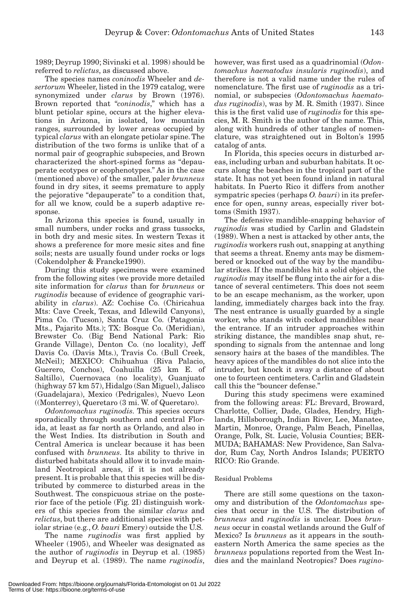1989; Deyrup 1990; Sivinski et al. 1998) should be referred to *relictus*, as discussed above.

The species names *coninodis* Wheeler and *desertorum* Wheeler, listed in the 1979 catalog, were synonymized under *clarus* by Brown (1976). Brown reported that "*coninodis*," which has a blunt petiolar spine, occurs at the higher elevations in Arizona, in isolated, low mountain ranges, surrounded by lower areas occupied by typical *clarus* with an elongate petiolar spine. The distribution of the two forms is unlike that of a normal pair of geographic subspecies, and Brown characterized the short-spined forms as "depauperate ecotypes or ecophenotypes." As in the case (mentioned above) of the smaller, paler *brunneus* found in dry sites, it seems premature to apply the pejorative "depauperate" to a condition that, for all we know, could be a superb adaptive response.

In Arizona this species is found, usually in small numbers, under rocks and grass tussocks, in both dry and mesic sites. In western Texas it shows a preference for more mesic sites and fine soils; nests are usually found under rocks or logs (Cokendolpher & Francke1990).

During this study specimens were examined from the following sites (we provide more detailed site information for *clarus* than for *brunneus* or *ruginodis* because of evidence of geographic variability in *clarus*). AZ: Cochise Co. (Chiricahua Mts: Cave Creek, Texas, and Idlewild Canyons), Pima Co. (Tucson), Santa Cruz Co. (Patagonia Mts., Pajarito Mts.); TX: Bosque Co. (Meridian), Brewster Co. (Big Bend National Park: Rio Grande Village), Denton Co. (no locality), Jeff Davis Co. (Davis Mts.), Travis Co. (Bull Creek, McNeil); MEXICO: Chihuahua (Riva Palacio, Guerero, Conchos), Coahuilla (25 km E. of Saltillo), Cuernovaca (no locality), Guanjuato (highway 57 km 57), Hidalgo (San Miguel), Jalisco (Guadelajara), Mexico (Pedrigales), Nuevo Leon ((Monterrey), Queretaro (3 mi. W. of Queretaro).

*Odontomachus ruginodis*. This species occurs sporadically through southern and central Florida, at least as far north as Orlando, and also in the West Indies. Its distribution in South and Central America is unclear because it has been confused with *brunneus*. Its ability to thrive in disturbed habitats should allow it to invade mainland Neotropical areas, if it is not already present. It is probable that this species will be distributed by commerce to disturbed areas in the Southwest. The conspicuous striae on the posterior face of the petiole (Fig. 2I) distinguish workers of this species from the similar *clarus* and *relictus*, but there are additional species with petiolar striae (e.g., *O. bauri* Emery) outside the U.S.

The name *ruginodis* was first applied by Wheeler (1905), and Wheeler was designated as the author of *ruginodis* in Deyrup et al. (1985) and Deyrup et al. (1989). The name *ruginodis*, however, was first used as a quadrinomial (*Odontomachus haematodus insularis ruginodis*), and therefore is not a valid name under the rules of nomenclature. The first use of *ruginodis* as a trinomial, or subspecies (*Odontomachus haematodus ruginodis*), was by M. R. Smith (1937). Since this is the first valid use of *ruginodis* for this species, M. R. Smith is the author of the name. This, along with hundreds of other tangles of nomenclature, was straightened out in Bolton's 1995 catalog of ants.

In Florida, this species occurs in disturbed areas, including urban and suburban habitats. It occurs along the beaches in the tropical part of the state. It has not yet been found inland in natural habitats. In Puerto Rico it differs from another sympatric species (perhaps *O. bauri*) in its preference for open, sunny areas, especially river bottoms (Smith 1937).

The defensive mandible-snapping behavior of *ruginodis* was studied by Carlin and Gladstein (1989). When a nest is attacked by other ants, the *ruginodis* workers rush out, snapping at anything that seems a threat. Enemy ants may be dismembered or knocked out of the way by the mandibular strikes. If the mandibles hit a solid object, the *ruginodis* may itself be flung into the air for a distance of several centimeters. This does not seem to be an escape mechanism, as the worker, upon landing, immediately charges back into the fray. The nest entrance is usually guarded by a single worker, who stands with cocked mandibles near the entrance. If an intruder approaches within striking distance, the mandibles snap shut, responding to signals from the antennae and long sensory hairs at the bases of the mandibles. The heavy apices of the mandibles do not slice into the intruder, but knock it away a distance of about one to fourteen centimeters. Carlin and Gladstein call this the "bouncer defense."

During this study specimens were examined from the following areas: FL: Brevard, Broward, Charlotte, Collier, Dade, Glades, Hendry, Highlands, Hillsborough, Indian River, Lee, Manatee, Martin, Monroe, Orange, Palm Beach, Pinellas, Orange, Polk, St. Lucie, Volusia Counties; BER-MUDA; BAHAMAS: New Providence, San Salvador, Rum Cay, North Andros Islands; PUERTO RICO: Rio Grande.

## Residual Problems

There are still some questions on the taxonomy and distribution of the *Odontomachus* species that occur in the U.S. The distribution of *brunneus* and *ruginodis* is unclear. Does *brunneus* occur in coastal wetlands around the Gulf of Mexico? Is *brunneus* as it appears in the southeastern North America the same species as the *brunneus* populations reported from the West Indies and the mainland Neotropics? Does *rugino-*